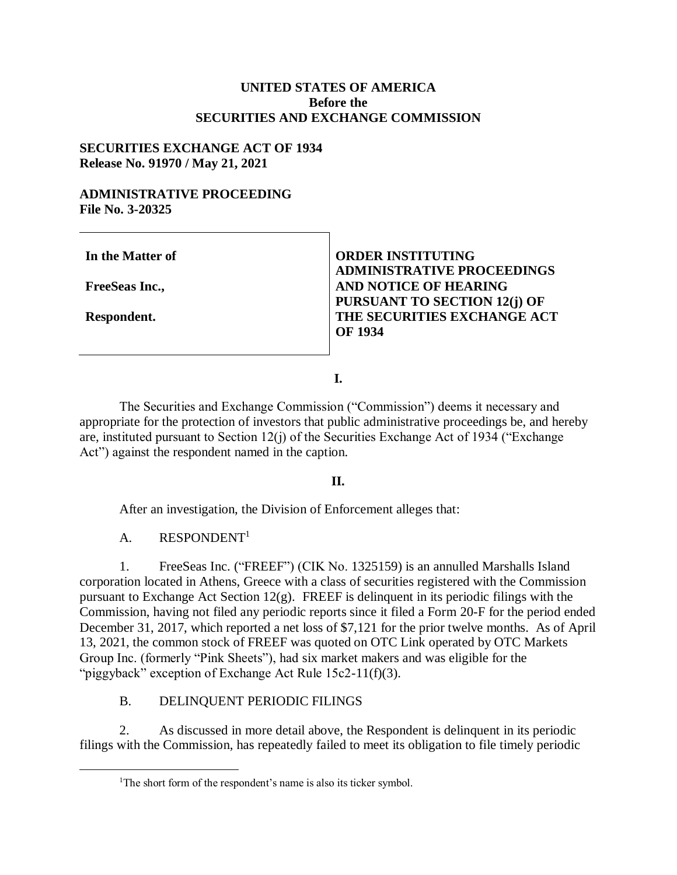## **UNITED STATES OF AMERICA Before the SECURITIES AND EXCHANGE COMMISSION**

### **SECURITIES EXCHANGE ACT OF 1934 Release No. 91970 / May 21, 2021**

### **ADMINISTRATIVE PROCEEDING File No. 3-20325**

**In the Matter of** 

**FreeSeas Inc.,**

**Respondent.**

 $\overline{a}$ 

**ORDER INSTITUTING ADMINISTRATIVE PROCEEDINGS AND NOTICE OF HEARING PURSUANT TO SECTION 12(j) OF THE SECURITIES EXCHANGE ACT OF 1934**

**I.**

The Securities and Exchange Commission ("Commission") deems it necessary and appropriate for the protection of investors that public administrative proceedings be, and hereby are, instituted pursuant to Section 12(j) of the Securities Exchange Act of 1934 ("Exchange Act") against the respondent named in the caption.

### **II.**

After an investigation, the Division of Enforcement alleges that:

# A. RESPONDENT<sup>1</sup>

1. FreeSeas Inc. ("FREEF") (CIK No. 1325159) is an annulled Marshalls Island corporation located in Athens, Greece with a class of securities registered with the Commission pursuant to Exchange Act Section 12(g). FREEF is delinquent in its periodic filings with the Commission, having not filed any periodic reports since it filed a Form 20-F for the period ended December 31, 2017, which reported a net loss of \$7,121 for the prior twelve months. As of April 13, 2021, the common stock of FREEF was quoted on OTC Link operated by OTC Markets Group Inc. (formerly "Pink Sheets"), had six market makers and was eligible for the "piggyback" exception of Exchange Act Rule 15c2-11(f)(3).

# B. DELINQUENT PERIODIC FILINGS

2. As discussed in more detail above, the Respondent is delinquent in its periodic filings with the Commission, has repeatedly failed to meet its obligation to file timely periodic

<sup>&</sup>lt;sup>1</sup>The short form of the respondent's name is also its ticker symbol.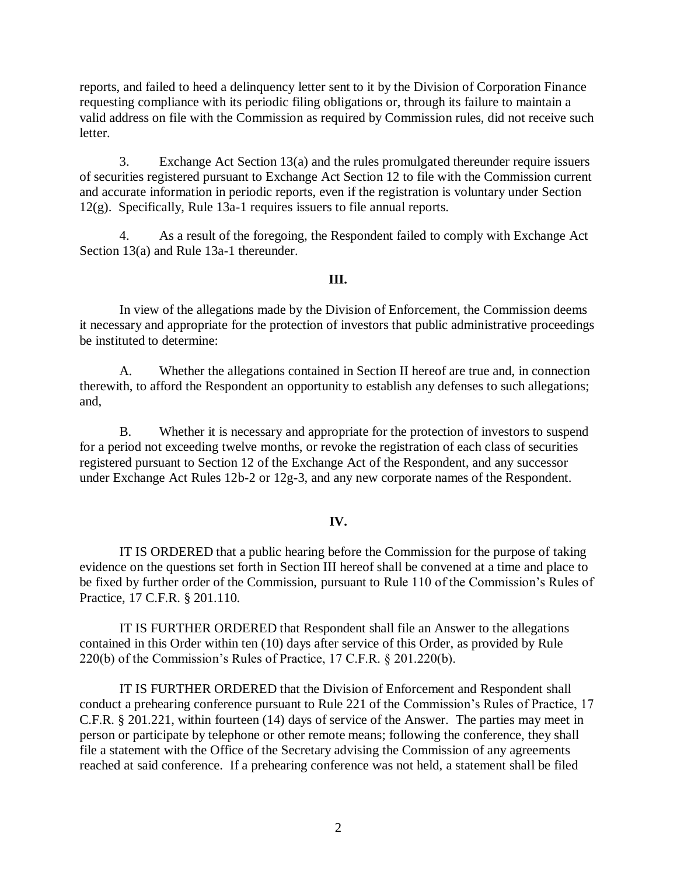reports, and failed to heed a delinquency letter sent to it by the Division of Corporation Finance requesting compliance with its periodic filing obligations or, through its failure to maintain a valid address on file with the Commission as required by Commission rules, did not receive such letter.

3. Exchange Act Section 13(a) and the rules promulgated thereunder require issuers of securities registered pursuant to Exchange Act Section 12 to file with the Commission current and accurate information in periodic reports, even if the registration is voluntary under Section 12(g). Specifically, Rule 13a-1 requires issuers to file annual reports.

4. As a result of the foregoing, the Respondent failed to comply with Exchange Act Section 13(a) and Rule 13a-1 thereunder.

### **III.**

In view of the allegations made by the Division of Enforcement, the Commission deems it necessary and appropriate for the protection of investors that public administrative proceedings be instituted to determine:

A. Whether the allegations contained in Section II hereof are true and, in connection therewith, to afford the Respondent an opportunity to establish any defenses to such allegations; and,

B. Whether it is necessary and appropriate for the protection of investors to suspend for a period not exceeding twelve months, or revoke the registration of each class of securities registered pursuant to Section 12 of the Exchange Act of the Respondent, and any successor under Exchange Act Rules 12b-2 or 12g-3, and any new corporate names of the Respondent.

#### **IV.**

IT IS ORDERED that a public hearing before the Commission for the purpose of taking evidence on the questions set forth in Section III hereof shall be convened at a time and place to be fixed by further order of the Commission, pursuant to Rule 110 of the Commission's Rules of Practice, 17 C.F.R. § 201.110.

IT IS FURTHER ORDERED that Respondent shall file an Answer to the allegations contained in this Order within ten (10) days after service of this Order, as provided by Rule 220(b) of the Commission's Rules of Practice, 17 C.F.R. § 201.220(b).

IT IS FURTHER ORDERED that the Division of Enforcement and Respondent shall conduct a prehearing conference pursuant to Rule 221 of the Commission's Rules of Practice, 17 C.F.R. § 201.221, within fourteen (14) days of service of the Answer. The parties may meet in person or participate by telephone or other remote means; following the conference, they shall file a statement with the Office of the Secretary advising the Commission of any agreements reached at said conference. If a prehearing conference was not held, a statement shall be filed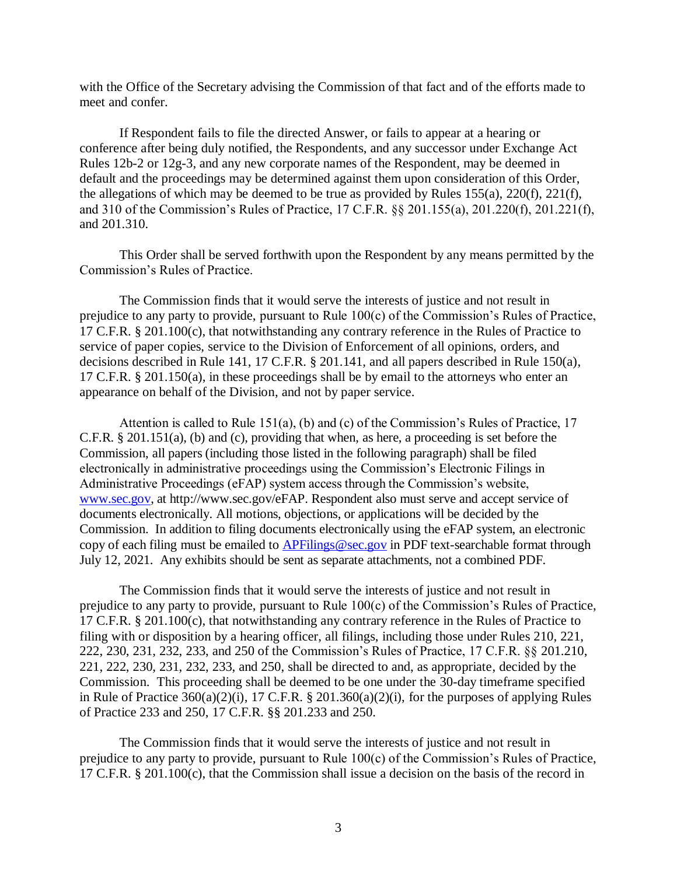with the Office of the Secretary advising the Commission of that fact and of the efforts made to meet and confer.

If Respondent fails to file the directed Answer, or fails to appear at a hearing or conference after being duly notified, the Respondents, and any successor under Exchange Act Rules 12b-2 or 12g-3, and any new corporate names of the Respondent, may be deemed in default and the proceedings may be determined against them upon consideration of this Order, the allegations of which may be deemed to be true as provided by Rules 155(a), 220(f), 221(f), and 310 of the Commission's Rules of Practice, 17 C.F.R. §§ 201.155(a), 201.220(f), 201.221(f), and 201.310.

This Order shall be served forthwith upon the Respondent by any means permitted by the Commission's Rules of Practice.

The Commission finds that it would serve the interests of justice and not result in prejudice to any party to provide, pursuant to Rule 100(c) of the Commission's Rules of Practice, 17 C.F.R. § 201.100(c), that notwithstanding any contrary reference in the Rules of Practice to service of paper copies, service to the Division of Enforcement of all opinions, orders, and decisions described in Rule 141, 17 C.F.R. § 201.141, and all papers described in Rule 150(a), 17 C.F.R. § 201.150(a), in these proceedings shall be by email to the attorneys who enter an appearance on behalf of the Division, and not by paper service.

Attention is called to Rule 151(a), (b) and (c) of the Commission's Rules of Practice, 17 C.F.R. § 201.151(a), (b) and (c), providing that when, as here, a proceeding is set before the Commission, all papers (including those listed in the following paragraph) shall be filed electronically in administrative proceedings using the Commission's Electronic Filings in Administrative Proceedings (eFAP) system access through the Commission's website, [www.sec.gov,](http://www.sec.gov/) at http://www.sec.gov/eFAP. Respondent also must serve and accept service of documents electronically. All motions, objections, or applications will be decided by the Commission. In addition to filing documents electronically using the eFAP system, an electronic copy of each filing must be emailed to [APFilings@sec.gov](mailto:APFilings@sec.gov) in PDF text-searchable format through July 12, 2021. Any exhibits should be sent as separate attachments, not a combined PDF.

The Commission finds that it would serve the interests of justice and not result in prejudice to any party to provide, pursuant to Rule 100(c) of the Commission's Rules of Practice, 17 C.F.R. § 201.100(c), that notwithstanding any contrary reference in the Rules of Practice to filing with or disposition by a hearing officer, all filings, including those under Rules 210, 221, 222, 230, 231, 232, 233, and 250 of the Commission's Rules of Practice, 17 C.F.R. §§ 201.210, 221, 222, 230, 231, 232, 233, and 250, shall be directed to and, as appropriate, decided by the Commission. This proceeding shall be deemed to be one under the 30-day timeframe specified in Rule of Practice 360(a)(2)(i), 17 C.F.R. § 201.360(a)(2)(i), for the purposes of applying Rules of Practice 233 and 250, 17 C.F.R. §§ 201.233 and 250.

The Commission finds that it would serve the interests of justice and not result in prejudice to any party to provide, pursuant to Rule 100(c) of the Commission's Rules of Practice, 17 C.F.R. § 201.100(c), that the Commission shall issue a decision on the basis of the record in